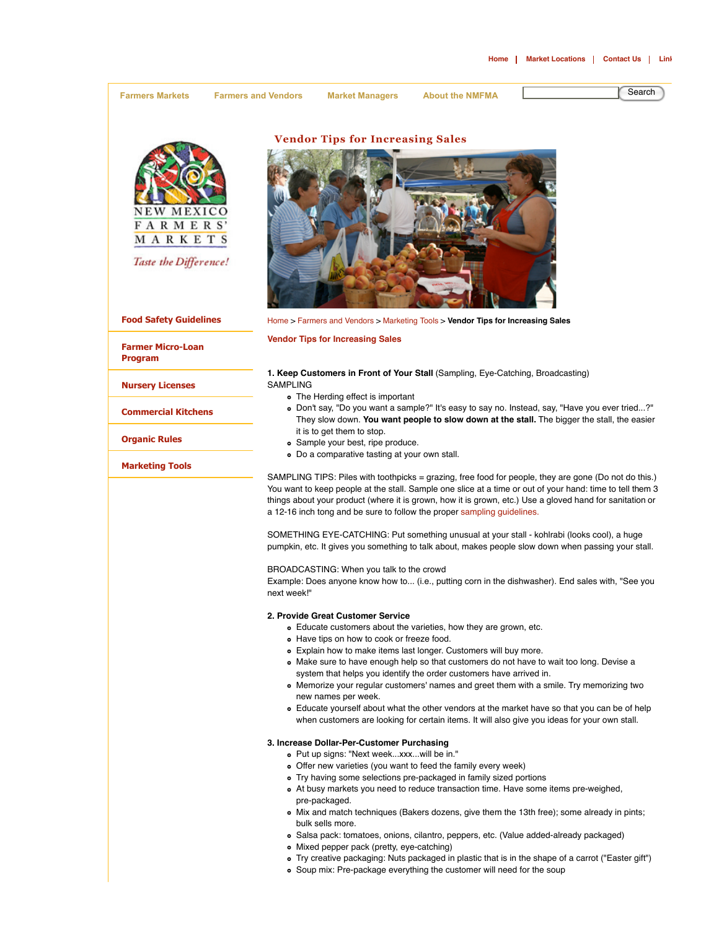**Farmers Markets Farmers and Vendors Market Managers About the NMFMA** Search



Taste the Difference!

**Food Safety Guidelines**

**Farmer Micro-Loan Program**

**Nursery Licenses**

**Commercial Kitchens**

**Organic Rules**

**Marketing Tools**

**Vendor Tips for Increasing Sales**



Home > Farmers and Vendors > Marketing Tools > **Vendor Tips for Increasing Sales**

**Vendor Tips for Increasing Sales**

#### **1. Keep Customers in Front of Your Stall** (Sampling, Eye-Catching, Broadcasting) SAMPLING

- The Herding effect is important
- Don't say, "Do you want a sample?" It's easy to say no. Instead, say, "Have you ever tried...?" They slow down. **You want people to slow down at the stall.** The bigger the stall, the easier it is to get them to stop.
- Sample your best, ripe produce.
- Do a comparative tasting at your own stall.

SAMPLING TIPS: Piles with toothpicks = grazing, free food for people, they are gone (Do not do this.) You want to keep people at the stall. Sample one slice at a time or out of your hand: time to tell them 3 things about your product (where it is grown, how it is grown, etc.) Use a gloved hand for sanitation or a 12-16 inch tong and be sure to follow the proper sampling guidelines.

SOMETHING EYE-CATCHING: Put something unusual at your stall - kohlrabi (looks cool), a huge pumpkin, etc. It gives you something to talk about, makes people slow down when passing your stall.

BROADCASTING: When you talk to the crowd

Example: Does anyone know how to... (i.e., putting corn in the dishwasher). End sales with, "See you next week!"

### **2. Provide Great Customer Service**

- Educate customers about the varieties, how they are grown, etc.
- Have tips on how to cook or freeze food.
- Explain how to make items last longer. Customers will buy more.
- Make sure to have enough help so that customers do not have to wait too long. Devise a system that helps you identify the order customers have arrived in.
- Memorize your regular customers' names and greet them with a smile. Try memorizing two new names per week.
- Educate yourself about what the other vendors at the market have so that you can be of help when customers are looking for certain items. It will also give you ideas for your own stall.

## **3. Increase Dollar-Per-Customer Purchasing**

- Put up signs: "Next week...xxx...will be in."
- Offer new varieties (you want to feed the family every week)
- Try having some selections pre-packaged in family sized portions
- At busy markets you need to reduce transaction time. Have some items pre-weighed, pre-packaged.
- Mix and match techniques (Bakers dozens, give them the 13th free); some already in pints; bulk sells more.
- Salsa pack: tomatoes, onions, cilantro, peppers, etc. (Value added-already packaged)
- Mixed pepper pack (pretty, eye-catching)
- Try creative packaging: Nuts packaged in plastic that is in the shape of a carrot ("Easter gift")
- Soup mix: Pre-package everything the customer will need for the soup